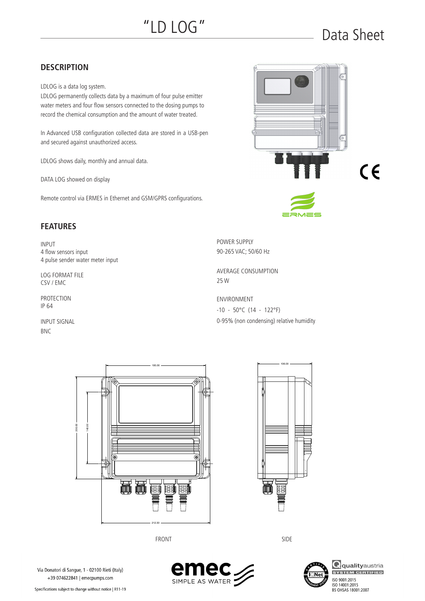# "LD LOG" Data Sheet

## **DESCRIPTION**

LDLOG is a data log system.

LDLOG permanently collects data by a maximum of four pulse emitter water meters and four flow sensors connected to the dosing pumps to record the chemical consumption and the amount of water treated.

In Advanced USB configuration collected data are stored in a USB-pen and secured against unauthorized access.

LDLOG shows daily, monthly and annual data.

DATA LOG showed on display

Remote control via ERMES in Ethernet and GSM/GPRS configurations.





## **FEATURES**

INPUT 4 flow sensors input 4 pulse sender water meter input

LOG FORMAT FILE CSV / EMC

PROTECTION IP 64

INPUT SIGNAL BNC

POWER SUPPLY 90-265 VAC; 50/60 Hz

AVERAGE CONSUMPTION 25 W

ENVIRONMENT -10 - 50°C (14 - 122°F) 0-95% (non condensing) relative humidity



FRONT SIDE



Massimo\_F 16/05/2013 SIDE



**Q**qualityaustria ISO 9001:2015 ISO 14001:2015<br>BS OHSAS 18001:2007

ia Donatori di Sangue, 1 - 02100 Rieti (Italy)<br>Repubblik - Italy - Italy - Italy - Italy - Italy - Italy - Italy - Italy - Italy - Italy - Italy - Italy - Italy - Italy - Italy - Italy - Italy - Italy - Italy - Italy - Ita +39 074622841 | emecpumps.com